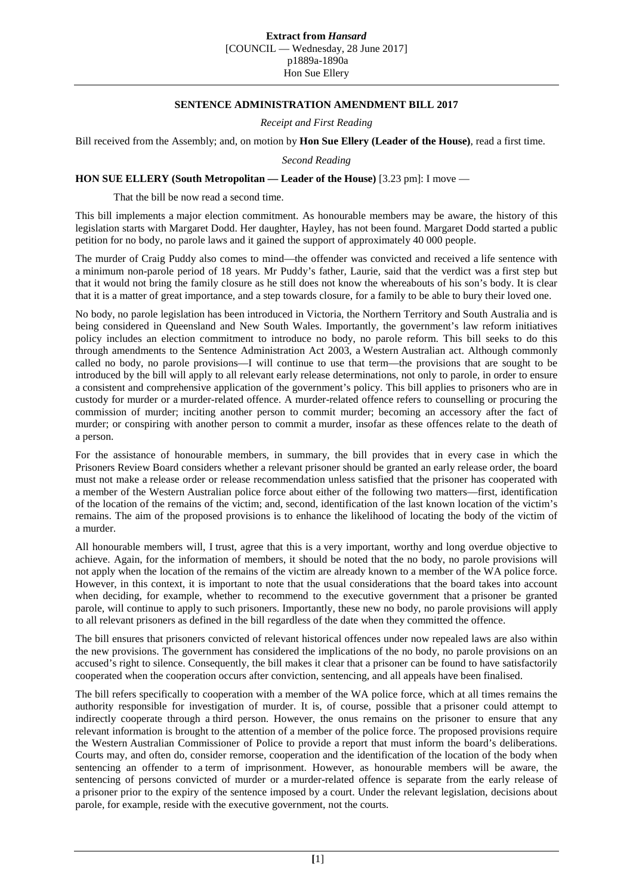## **Extract from** *Hansard*

[COUNCIL — Wednesday, 28 June 2017] p1889a-1890a Hon Sue Ellery

## **SENTENCE ADMINISTRATION AMENDMENT BILL 2017**

*Receipt and First Reading*

Bill received from the Assembly; and, on motion by **Hon Sue Ellery (Leader of the House)**, read a first time.

*Second Reading*

## **HON SUE ELLERY (South Metropolitan — Leader of the House)** [3.23 pm]: I move —

That the bill be now read a second time.

This bill implements a major election commitment. As honourable members may be aware, the history of this legislation starts with Margaret Dodd. Her daughter, Hayley, has not been found. Margaret Dodd started a public petition for no body, no parole laws and it gained the support of approximately 40 000 people.

The murder of Craig Puddy also comes to mind—the offender was convicted and received a life sentence with a minimum non-parole period of 18 years. Mr Puddy's father, Laurie, said that the verdict was a first step but that it would not bring the family closure as he still does not know the whereabouts of his son's body. It is clear that it is a matter of great importance, and a step towards closure, for a family to be able to bury their loved one.

No body, no parole legislation has been introduced in Victoria, the Northern Territory and South Australia and is being considered in Queensland and New South Wales. Importantly, the government's law reform initiatives policy includes an election commitment to introduce no body, no parole reform. This bill seeks to do this through amendments to the Sentence Administration Act 2003, a Western Australian act. Although commonly called no body, no parole provisions—I will continue to use that term—the provisions that are sought to be introduced by the bill will apply to all relevant early release determinations, not only to parole, in order to ensure a consistent and comprehensive application of the government's policy. This bill applies to prisoners who are in custody for murder or a murder-related offence. A murder-related offence refers to counselling or procuring the commission of murder; inciting another person to commit murder; becoming an accessory after the fact of murder; or conspiring with another person to commit a murder, insofar as these offences relate to the death of a person.

For the assistance of honourable members, in summary, the bill provides that in every case in which the Prisoners Review Board considers whether a relevant prisoner should be granted an early release order, the board must not make a release order or release recommendation unless satisfied that the prisoner has cooperated with a member of the Western Australian police force about either of the following two matters—first, identification of the location of the remains of the victim; and, second, identification of the last known location of the victim's remains. The aim of the proposed provisions is to enhance the likelihood of locating the body of the victim of a murder.

All honourable members will, I trust, agree that this is a very important, worthy and long overdue objective to achieve. Again, for the information of members, it should be noted that the no body, no parole provisions will not apply when the location of the remains of the victim are already known to a member of the WA police force. However, in this context, it is important to note that the usual considerations that the board takes into account when deciding, for example, whether to recommend to the executive government that a prisoner be granted parole, will continue to apply to such prisoners. Importantly, these new no body, no parole provisions will apply to all relevant prisoners as defined in the bill regardless of the date when they committed the offence.

The bill ensures that prisoners convicted of relevant historical offences under now repealed laws are also within the new provisions. The government has considered the implications of the no body, no parole provisions on an accused's right to silence. Consequently, the bill makes it clear that a prisoner can be found to have satisfactorily cooperated when the cooperation occurs after conviction, sentencing, and all appeals have been finalised.

The bill refers specifically to cooperation with a member of the WA police force, which at all times remains the authority responsible for investigation of murder. It is, of course, possible that a prisoner could attempt to indirectly cooperate through a third person. However, the onus remains on the prisoner to ensure that any relevant information is brought to the attention of a member of the police force. The proposed provisions require the Western Australian Commissioner of Police to provide a report that must inform the board's deliberations. Courts may, and often do, consider remorse, cooperation and the identification of the location of the body when sentencing an offender to a term of imprisonment. However, as honourable members will be aware, the sentencing of persons convicted of murder or a murder-related offence is separate from the early release of a prisoner prior to the expiry of the sentence imposed by a court. Under the relevant legislation, decisions about parole, for example, reside with the executive government, not the courts.